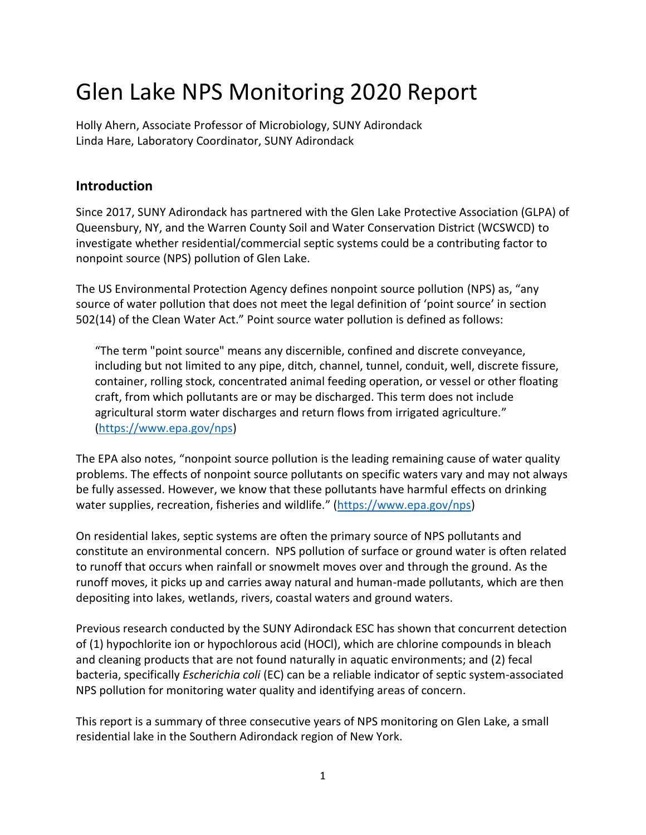## Glen Lake NPS Monitoring 2020 Report

Holly Ahern, Associate Professor of Microbiology, SUNY Adirondack Linda Hare, Laboratory Coordinator, SUNY Adirondack

## **Introduction**

Since 2017, SUNY Adirondack has partnered with the Glen Lake Protective Association (GLPA) of Queensbury, NY, and the Warren County Soil and Water Conservation District (WCSWCD) to investigate whether residential/commercial septic systems could be a contributing factor to nonpoint source (NPS) pollution of Glen Lake.

The US Environmental Protection Agency defines nonpoint source pollution (NPS) as, "any source of water pollution that does not meet the legal definition of 'point source' in section 502(14) of the Clean Water Act." Point source water pollution is defined as follows:

"The term "point source" means any discernible, confined and discrete conveyance, including but not limited to any pipe, ditch, channel, tunnel, conduit, well, discrete fissure, container, rolling stock, concentrated animal feeding operation, or vessel or other floating craft, from which pollutants are or may be discharged. This term does not include agricultural storm water discharges and return flows from irrigated agriculture." [\(https://www.epa.gov/nps\)](https://www.epa.gov/nps)

The EPA also notes, "nonpoint source pollution is the leading remaining cause of water quality problems. The effects of nonpoint source pollutants on specific waters vary and may not always be fully assessed. However, we know that these pollutants have harmful effects on drinking water supplies, recreation, fisheries and wildlife." ([https://www.epa.gov/nps\)](https://www.epa.gov/nps)

On residential lakes, septic systems are often the primary source of NPS pollutants and constitute an environmental concern. NPS pollution of surface or ground water is often related to runoff that occurs when rainfall or snowmelt moves over and through the ground. As the runoff moves, it picks up and carries away natural and human-made pollutants, which are then depositing into lakes, wetlands, rivers, coastal waters and ground waters.

Previous research conducted by the SUNY Adirondack ESC has shown that concurrent detection of (1) hypochlorite ion or hypochlorous acid (HOCl), which are chlorine compounds in bleach and cleaning products that are not found naturally in aquatic environments; and (2) fecal bacteria, specifically *Escherichia coli* (EC) can be a reliable indicator of septic system-associated NPS pollution for monitoring water quality and identifying areas of concern.

This report is a summary of three consecutive years of NPS monitoring on Glen Lake, a small residential lake in the Southern Adirondack region of New York.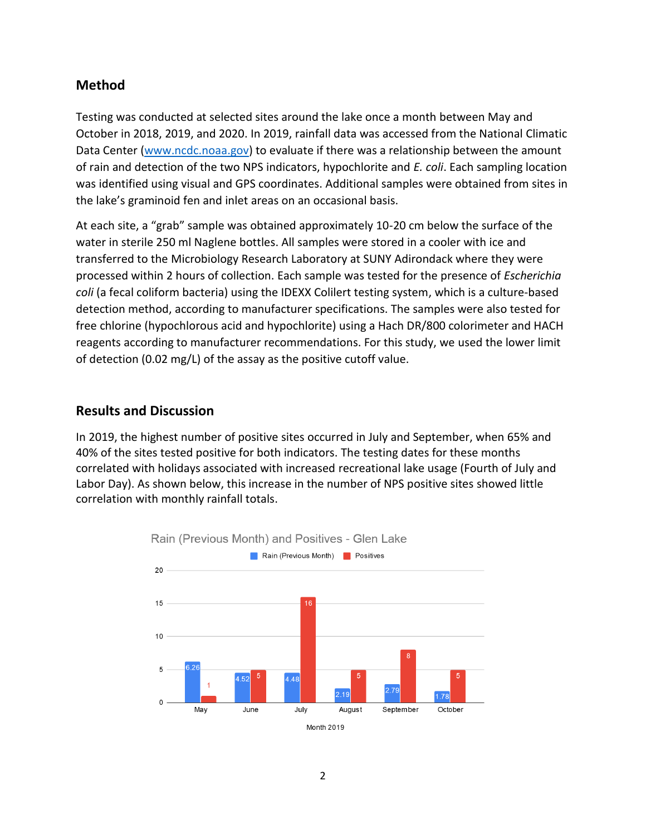## **Method**

Testing was conducted at selected sites around the lake once a month between May and October in 2018, 2019, and 2020. In 2019, rainfall data was accessed from the National Climatic Data Center [\(www.ncdc.noaa.gov\)](http://www.ncdc.noaa.gov/) to evaluate if there was a relationship between the amount of rain and detection of the two NPS indicators, hypochlorite and *E. coli*. Each sampling location was identified using visual and GPS coordinates. Additional samples were obtained from sites in the lake's graminoid fen and inlet areas on an occasional basis.

At each site, a "grab" sample was obtained approximately 10-20 cm below the surface of the water in sterile 250 ml Naglene bottles. All samples were stored in a cooler with ice and transferred to the Microbiology Research Laboratory at SUNY Adirondack where they were processed within 2 hours of collection. Each sample was tested for the presence of *Escherichia coli* (a fecal coliform bacteria) using the IDEXX Colilert testing system, which is a culture-based detection method, according to manufacturer specifications. The samples were also tested for free chlorine (hypochlorous acid and hypochlorite) using a Hach DR/800 colorimeter and HACH reagents according to manufacturer recommendations. For this study, we used the lower limit of detection (0.02 mg/L) of the assay as the positive cutoff value.

## **Results and Discussion**

In 2019, the highest number of positive sites occurred in July and September, when 65% and 40% of the sites tested positive for both indicators. The testing dates for these months correlated with holidays associated with increased recreational lake usage (Fourth of July and Labor Day). As shown below, this increase in the number of NPS positive sites showed little correlation with monthly rainfall totals.



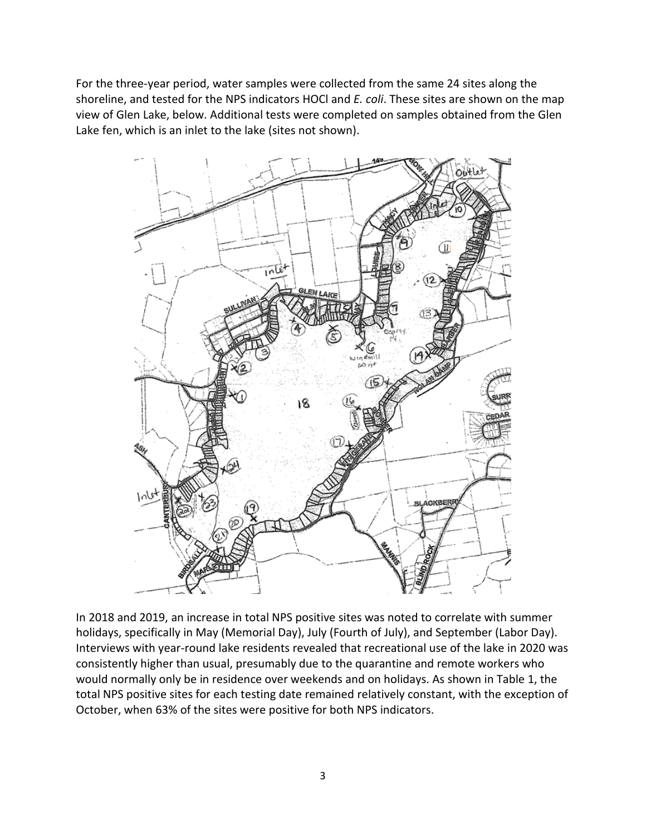For the three-year period, water samples were collected from the same 24 sites along the shoreline, and tested for the NPS indicators HOCl and *E. coli*. These sites are shown on the map view of Glen Lake, below. Additional tests were completed on samples obtained from the Glen Lake fen, which is an inlet to the lake (sites not shown).



In 2018 and 2019, an increase in total NPS positive sites was noted to correlate with summer holidays, specifically in May (Memorial Day), July (Fourth of July), and September (Labor Day). Interviews with year-round lake residents revealed that recreational use of the lake in 2020 was consistently higher than usual, presumably due to the quarantine and remote workers who would normally only be in residence over weekends and on holidays. As shown in Table 1, the total NPS positive sites for each testing date remained relatively constant, with the exception of October, when 63% of the sites were positive for both NPS indicators.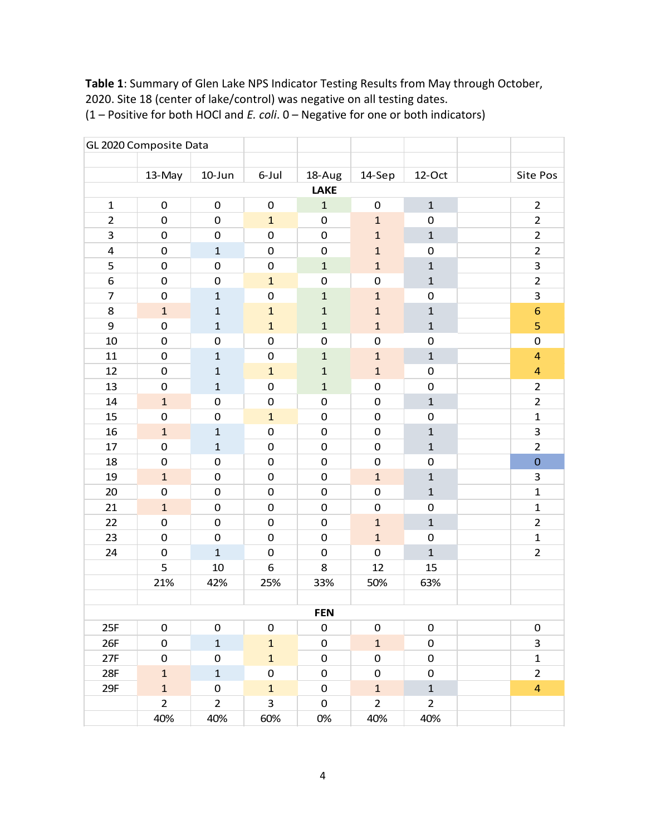**Table 1**: Summary of Glen Lake NPS Indicator Testing Results from May through October, 2020. Site 18 (center of lake/control) was negative on all testing dates.

|                         | GL 2020 Composite Data |                     |                     |                     |                |                |  |                         |  |  |  |  |  |  |
|-------------------------|------------------------|---------------------|---------------------|---------------------|----------------|----------------|--|-------------------------|--|--|--|--|--|--|
|                         |                        |                     |                     |                     |                |                |  |                         |  |  |  |  |  |  |
|                         | 13-May                 | 10-Jun              | 6-Jul               | 18-Aug              | 14-Sep         | 12-Oct         |  | Site Pos                |  |  |  |  |  |  |
|                         | LAKE                   |                     |                     |                     |                |                |  |                         |  |  |  |  |  |  |
| $\mathbf{1}$            | $\pmb{0}$              | $\pmb{0}$           | $\pmb{0}$           | $\mathbf{1}$        | $\pmb{0}$      | $\mathbf{1}$   |  | $\overline{2}$          |  |  |  |  |  |  |
| $\overline{2}$          | $\pmb{0}$              | $\mathsf{O}\xspace$ | $\mathbf{1}$        | $\pmb{0}$           | $\mathbf{1}$   | $\pmb{0}$      |  | $\overline{2}$          |  |  |  |  |  |  |
| 3                       | 0                      | 0                   | 0                   | $\pmb{0}$           | $\mathbf 1$    | $\mathbf 1$    |  | $\overline{2}$          |  |  |  |  |  |  |
| $\overline{\mathbf{r}}$ | $\pmb{0}$              | $\mathbf 1$         | $\pmb{0}$           | $\pmb{0}$           | $\mathbf 1$    | $\pmb{0}$      |  | $\overline{2}$          |  |  |  |  |  |  |
| 5                       | $\pmb{0}$              | $\pmb{0}$           | $\pmb{0}$           | $\mathbf 1$         | $\mathbf 1$    | $\mathbf{1}$   |  | 3                       |  |  |  |  |  |  |
| 6                       | $\pmb{0}$              | $\mathbf 0$         | $\mathbf{1}$        | $\mathsf 0$         | $\mathbf 0$    | $\mathbf 1$    |  | $\overline{2}$          |  |  |  |  |  |  |
| $\overline{7}$          | $\pmb{0}$              | $\mathbf 1$         | $\mathbf 0$         | $\mathbf{1}$        | $\mathbf 1$    | $\pmb{0}$      |  | 3                       |  |  |  |  |  |  |
| 8                       | $\mathbf 1$            | $\mathbf{1}$        | $\mathbf{1}$        | $\mathbf 1$         | $\mathbf{1}$   | $\mathbf{1}$   |  | $\overline{6}$          |  |  |  |  |  |  |
| 9                       | $\pmb{0}$              | $\mathbf 1$         | $\mathbf{1}$        | $\mathbf 1$         | $\mathbf 1$    | $\mathbf{1}$   |  | 5                       |  |  |  |  |  |  |
| 10                      | $\pmb{0}$              | $\mathbf 0$         | $\mathsf{O}\xspace$ | $\pmb{0}$           | $\mathbf 0$    | $\pmb{0}$      |  | $\mathbf 0$             |  |  |  |  |  |  |
| 11                      | $\pmb{0}$              | $\mathbf 1$         | $\pmb{0}$           | $\mathbf 1$         | $\mathbf 1$    | $\mathbf 1$    |  | $\overline{\mathbf{r}}$ |  |  |  |  |  |  |
| 12                      | $\pmb{0}$              | $\mathbf 1$         | $\mathbf{1}$        | $\mathbf 1$         | $\mathbf 1$    | $\pmb{0}$      |  | $\overline{\mathbf{r}}$ |  |  |  |  |  |  |
| 13                      | $\pmb{0}$              | $\mathbf 1$         | 0                   | $\mathbf 1$         | $\pmb{0}$      | $\pmb{0}$      |  | $\overline{2}$          |  |  |  |  |  |  |
| 14                      | $\mathbf 1$            | $\pmb{0}$           | $\pmb{0}$           | $\pmb{0}$           | $\pmb{0}$      | $\mathbf 1$    |  | $\overline{2}$          |  |  |  |  |  |  |
| 15                      | $\pmb{0}$              | $\mathbf 0$         | $\mathbf{1}$        | $\pmb{0}$           | $\pmb{0}$      | $\pmb{0}$      |  | $\mathbf 1$             |  |  |  |  |  |  |
| 16                      | $\mathbf 1$            | $\mathbf 1$         | 0                   | $\pmb{0}$           | $\pmb{0}$      | $\mathbf 1$    |  | 3                       |  |  |  |  |  |  |
| 17                      | $\pmb{0}$              | $\mathbf 1$         | $\mathbf 0$         | $\pmb{0}$           | $\pmb{0}$      | $\mathbf{1}$   |  | $\overline{2}$          |  |  |  |  |  |  |
| 18                      | $\pmb{0}$              | $\pmb{0}$           | $\pmb{0}$           | $\pmb{0}$           | $\pmb{0}$      | $\pmb{0}$      |  | $\mathbf 0$             |  |  |  |  |  |  |
| 19                      | $\mathbf{1}$           | $\pmb{0}$           | $\mathsf{O}\xspace$ | $\pmb{0}$           | $\mathbf 1$    | $\mathbf{1}$   |  | 3                       |  |  |  |  |  |  |
| 20                      | $\pmb{0}$              | $\pmb{0}$           | $\pmb{0}$           | $\pmb{0}$           | $\mathbf 0$    | $\mathbf{1}$   |  | $\mathbf 1$             |  |  |  |  |  |  |
| 21                      | $\mathbf 1$            | 0                   | $\mathsf{O}\xspace$ | $\pmb{0}$           | $\pmb{0}$      | $\pmb{0}$      |  | $\mathbf 1$             |  |  |  |  |  |  |
| 22                      | $\pmb{0}$              | $\mathbf 0$         | $\pmb{0}$           | $\pmb{0}$           | $\mathbf 1$    | $\mathbf 1$    |  | $\overline{2}$          |  |  |  |  |  |  |
| 23                      | $\pmb{0}$              | $\pmb{0}$           | $\pmb{0}$           | $\pmb{0}$           | $\mathbf{1}$   | $\pmb{0}$      |  | $\mathbf 1$             |  |  |  |  |  |  |
| 24                      | 0                      | $\mathbf 1$         | $\mathsf{O}\xspace$ | $\pmb{0}$           | $\mathsf 0$    | $\mathbf{1}$   |  | $\overline{2}$          |  |  |  |  |  |  |
|                         | 5                      | 10                  | 6                   | 8                   | 12             | 15             |  |                         |  |  |  |  |  |  |
|                         | 21%                    | 42%                 | 25%                 | 33%                 | 50%            | 63%            |  |                         |  |  |  |  |  |  |
|                         |                        |                     |                     |                     |                |                |  |                         |  |  |  |  |  |  |
| <b>FEN</b>              |                        |                     |                     |                     |                |                |  |                         |  |  |  |  |  |  |
| 25F                     | 0                      | 0                   | $\pmb{0}$           | 0                   | $\mathbf 0$    | 0              |  | $\pmb{0}$               |  |  |  |  |  |  |
| 26F                     | $\pmb{0}$              | $\mathbf 1$         | $\mathbf{1}$        | $\mathbf 0$         | $\mathbf 1$    | $\mathsf 0$    |  | 3                       |  |  |  |  |  |  |
| 27F                     | 0                      | 0                   | $\mathbf{1}$        | $\mathsf{O}\xspace$ | 0              | $\mathbf 0$    |  | $\mathbf{1}$            |  |  |  |  |  |  |
| 28F                     | $\mathbf{1}$           | $\mathbf 1$         | $\pmb{0}$           | 0                   | $\mathbf 0$    | $\mathbf 0$    |  | $\overline{2}$          |  |  |  |  |  |  |
| 29F                     | $\mathbf{1}$           | 0                   | $\mathbf{1}$        | $\mathbf 0$         | $\mathbf 1$    | $\mathbf{1}$   |  | $\overline{4}$          |  |  |  |  |  |  |
|                         | $\overline{2}$         | $\overline{2}$      | $\mathbf{3}$        | 0                   | $\overline{2}$ | $\overline{2}$ |  |                         |  |  |  |  |  |  |
|                         | 40%                    | 40%                 | 60%                 | 0%                  | 40%            | 40%            |  |                         |  |  |  |  |  |  |

(1 – Positive for both HOCl and *E. coli*. 0 – Negative for one or both indicators)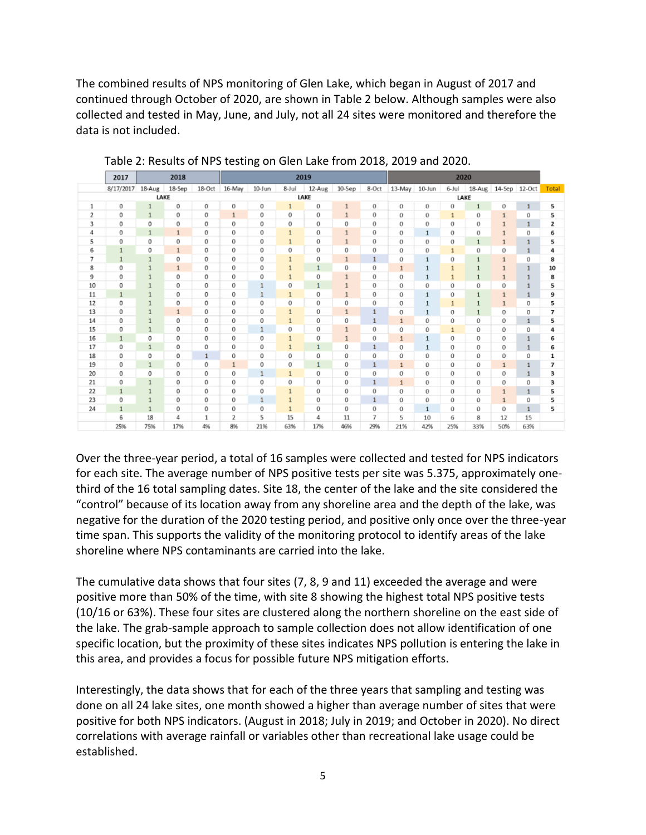The combined results of NPS monitoring of Glen Lake, which began in August of 2017 and continued through October of 2020, are shown in Table 2 below. Although samples were also collected and tested in May, June, and July, not all 24 sites were monitored and therefore the data is not included.

|      | 2017         | 2018         |              |              | 2019         |              |              |              |              |              | 2020         |              |              |              |               |              |       |
|------|--------------|--------------|--------------|--------------|--------------|--------------|--------------|--------------|--------------|--------------|--------------|--------------|--------------|--------------|---------------|--------------|-------|
|      | 8/17/2017    | 18-Aug       | 18-Sep       | $18-Oct$     | 16-May       | 10-Jun       | 8-Jul        | 12-Aug       | $10-$ Sep    | 8-Oct        | 13-May       | 10-Jun       | 6-Jul        | 18-Aug       | 14-Sep 12-Oct |              | Total |
| LAKE |              |              |              |              | LAKE         |              |              |              |              |              | LAKE         |              |              |              |               |              |       |
| 1    | 0            | $\mathbf{1}$ | 0            | 0            | 0            | 0            | $\mathbf{1}$ | 0            | $\mathbf{1}$ | 0            | 0            | 0            | 0            | $\mathbf{1}$ | 0             | 1            | 5     |
| 2    | $\mathbf 0$  | $\mathbf{1}$ | 0            | 0            | $\mathbf{1}$ | 0            | 0            | 0            | $\mathbf{1}$ | 0            | 0            | 0            | $\mathbf{1}$ | 0            | $\mathbf{1}$  | 0            | 5     |
| 3    | 0            | 0            | 0            | 0            | 0            | 0            | 0            | 0            | $\bf{0}$     | 0            | 0            | 0            | 0            | 0            | $\mathbf{1}$  | 1            | 2     |
| 4    | 0            | $\mathbf{1}$ | $\mathbf{1}$ | 0            | 0            | 0            |              | 0            | $\mathbf{1}$ | 0            | 0            | 1            | 0            | 0            | $\mathbf{1}$  | 0            | 6     |
| 5    | 0            | 0            | 0            | 0            | 0            | 0            | 1            | 0            | $\mathbf{1}$ | 0            | 0            | 0            | 0            | $\mathbf{1}$ | $\mathbf{1}$  | 1            | 5     |
| 6    | $\mathbf{1}$ | 0            | $\mathbf{1}$ | 0            | 0            | 0            | 0            | 0            | $\bf{0}$     | 0            | 0            | 0            | 1            | 0            | 0             | $\mathbf{1}$ | 4     |
| 7    | $\mathbf{1}$ | $\mathbf{1}$ | 0            | 0            | 0            | 0            | 1            | 0            | $\mathbf{1}$ | $\mathbf{1}$ | 0            | $\mathbf{1}$ | 0            | $\mathbf{1}$ | $\mathbf{1}$  | 0            | 8     |
| 8    | 0            | $\mathbf{1}$ | $\mathbf{1}$ | 0            | 0            | 0            |              | $\mathbf{1}$ | 0            | 0            | $\mathbf{1}$ | $\mathbf{1}$ | $\mathbf{1}$ | $\mathbf{1}$ | $\mathbf{1}$  | 1            | 10    |
| 9    | 0            | 1            | 0            | 0            | 0            | 0            |              | 0            | 1            | 0            | 0            | 1            | 1            | $\mathbf{1}$ | $\mathbf{1}$  | 1            | 8     |
| 10   | 0            | $\mathbf{1}$ | 0            | 0            | 0            | $\mathbf{1}$ | 0            | $\mathbf{1}$ | $\mathbf{1}$ | 0            | 0            | 0            | 0            | 0            | 0             | 1            | 5     |
| 11   | $1\,$        | $\mathbf{1}$ | 0            | 0            | 0            | 1            | $\mathbf{1}$ | 0            | $\mathbf 1$  | 0            | 0            | $\mathbf{1}$ | 0            | $\mathbf{1}$ | $\mathbf{1}$  | 1            | 9     |
| 12   | 0            | $\mathbf{1}$ | 0            | 0            | 0            | 0            | 0            | 0            | 0            | 0            | 0            | 1            | 1            | $\mathbf{1}$ | $\mathbf{1}$  | 0            | 5     |
| 13   | 0            | $\mathbf{1}$ | $\mathbf{1}$ | 0            | 0            | 0            | 1            | 0            | $\mathbf{1}$ | 1            | 0            | $\mathbf{1}$ | 0            | $\mathbf{1}$ | 0             | 0            | 7     |
| 14   | 0            | $\mathbf{1}$ | 0            | 0            | 0            | 0            | $\mathbf{1}$ | 0            | $\bf{0}$     | 1            | $\mathbf{1}$ | 0            | 0            | 0            | 0             | 1            | 5     |
| 15   | 0            | $\mathbf{1}$ | 0            | 0            | 0            | $\mathbf{1}$ | 0            | 0            | $\mathbf{1}$ | 0            | 0            | 0            | 1            | 0            | 0             | 0            | 4     |
| 16   | $\mathbf{1}$ | 0            | 0            | 0            | 0            | 0            | 1            | 0            | $\mathbf{1}$ | 0            | $\mathbf{1}$ | $\mathbf{1}$ | 0            | 0            | 0             | 1            | 6     |
| 17   | 0            | $\mathbf{1}$ | 0            | 0            | 0            | 0            | 1            | $\mathbf{1}$ | 0            | 1            | 0            | 1            | 0            | 0            | 0             | 1            | 6     |
| 18   | 0            | 0            | 0            | $\mathbf{1}$ | 0            | 0            | 0            | 0            | $\mathbf 0$  | 0            | 0            | 0            | 0            | 0            | 0             | 0            | 1     |
| 19   | 0            | $\mathbf{1}$ | 0            | 0            | $\mathbf{1}$ | 0            | 0            | $\mathbf{1}$ | $\circ$      | 1            | $\mathbf{1}$ | 0            | 0            | 0            | $\mathbf{1}$  | $\mathbf{1}$ | 7     |
| 20   | $\circ$      | 0            | $\circ$      | 0            | 0            | $1\,$        | $\mathbf{1}$ | $\mathbf 0$  | $\mathbf 0$  | 0            | 0            | 0            | 0            | 0            | 0             | 1            | 3     |
| 21   | 0            | $\mathbf{1}$ | 0            | 0            | 0            | 0            | 0            | $\mathbf 0$  | $^{\circ}$   | 1            | $\mathbf{1}$ | 0            | 0            | 0            | 0             | 0            | 3     |
| 22   | $\mathbf{1}$ | 1            | 0            | 0            | 0            | 0            |              | 0            | $^{\circ}$   | 0            | 0            | 0            | 0            | 0            | $\mathbf{1}$  | 1            | 5     |
| 23   | 0            | $\mathbf{1}$ | 0            | 0            | 0            | $\mathbf{1}$ | 1            | 0            | $\bf{0}$     | $\mathbf{1}$ | 0            | 0            | 0            | 0            | $\mathbf{1}$  | 0            | 5     |
| 24   | $\mathbf{1}$ | $\mathbf{1}$ | 0            | 0            | 0            | 0            | $\mathbf{1}$ | 0            | $\mathbf 0$  | 0            | 0            | $\mathbf{1}$ | 0            | 0            | 0             | $\mathbf{1}$ | 5     |
|      | 6            | 18           | 4            | $\mathbf{1}$ | 2            | 5            | 15           | 4            | 11           | 7            | 5            | 10           | 6            | 8            | 12            | 15           |       |
|      | 25%          | 75%          | 17%          | 4%           | 8%           | 21%          | 63%          | 17%          | 46%          | 29%          | 21%          | 42%          | 25%          | 33%          | 50%           | 63%          |       |

Table 2: Results of NPS testing on Glen Lake from 2018, 2019 and 2020.

Over the three-year period, a total of 16 samples were collected and tested for NPS indicators for each site. The average number of NPS positive tests per site was 5.375, approximately onethird of the 16 total sampling dates. Site 18, the center of the lake and the site considered the "control" because of its location away from any shoreline area and the depth of the lake, was negative for the duration of the 2020 testing period, and positive only once over the three-year time span. This supports the validity of the monitoring protocol to identify areas of the lake shoreline where NPS contaminants are carried into the lake.

The cumulative data shows that four sites (7, 8, 9 and 11) exceeded the average and were positive more than 50% of the time, with site 8 showing the highest total NPS positive tests (10/16 or 63%). These four sites are clustered along the northern shoreline on the east side of the lake. The grab-sample approach to sample collection does not allow identification of one specific location, but the proximity of these sites indicates NPS pollution is entering the lake in this area, and provides a focus for possible future NPS mitigation efforts.

Interestingly, the data shows that for each of the three years that sampling and testing was done on all 24 lake sites, one month showed a higher than average number of sites that were positive for both NPS indicators. (August in 2018; July in 2019; and October in 2020). No direct correlations with average rainfall or variables other than recreational lake usage could be established.